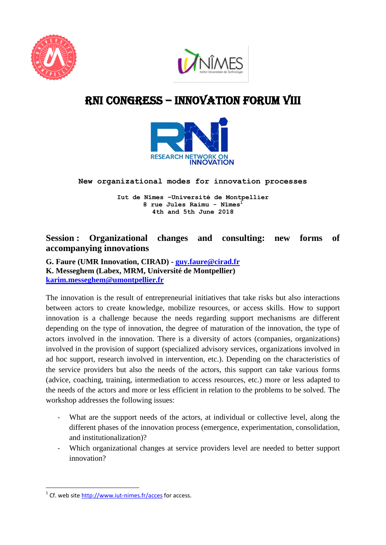



## RNI cONGRESS – innovation Forum VIII



**New organizational modes for innovation processes** 

**Iut de Nîmes –Université de Montpellier 8 rue Jules Raimu - Nîmes<sup>1</sup> 4th and 5th June 2018**

## **Session : Organizational changes and consulting: new forms of accompanying innovations**

**G. Faure (UMR Innovation, CIRAD) - [guy.faure@cirad.fr](mailto:guy.faure@cirad.fr) K. Messeghem (Labex, MRM, Université de Montpellier) [karim.messeghem@umontpellier.fr](mailto:karim.messeghem@umontpellier.fr)**

The innovation is the result of entrepreneurial initiatives that take risks but also interactions between actors to create knowledge, mobilize resources, or access skills. How to support innovation is a challenge because the needs regarding support mechanisms are different depending on the type of innovation, the degree of maturation of the innovation, the type of actors involved in the innovation. There is a diversity of actors (companies, organizations) involved in the provision of support (specialized advisory services, organizations involved in ad hoc support, research involved in intervention, etc.). Depending on the characteristics of the service providers but also the needs of the actors, this support can take various forms (advice, coaching, training, intermediation to access resources, etc.) more or less adapted to the needs of the actors and more or less efficient in relation to the problems to be solved. The workshop addresses the following issues:

- What are the support needs of the actors, at individual or collective level, along the different phases of the innovation process (emergence, experimentation, consolidation, and institutionalization)?
- Which organizational changes at service providers level are needed to better support innovation?

**<sup>.</sup>** <sup>1</sup> Cf. web site<http://www.iut-nimes.fr/acces> for access.